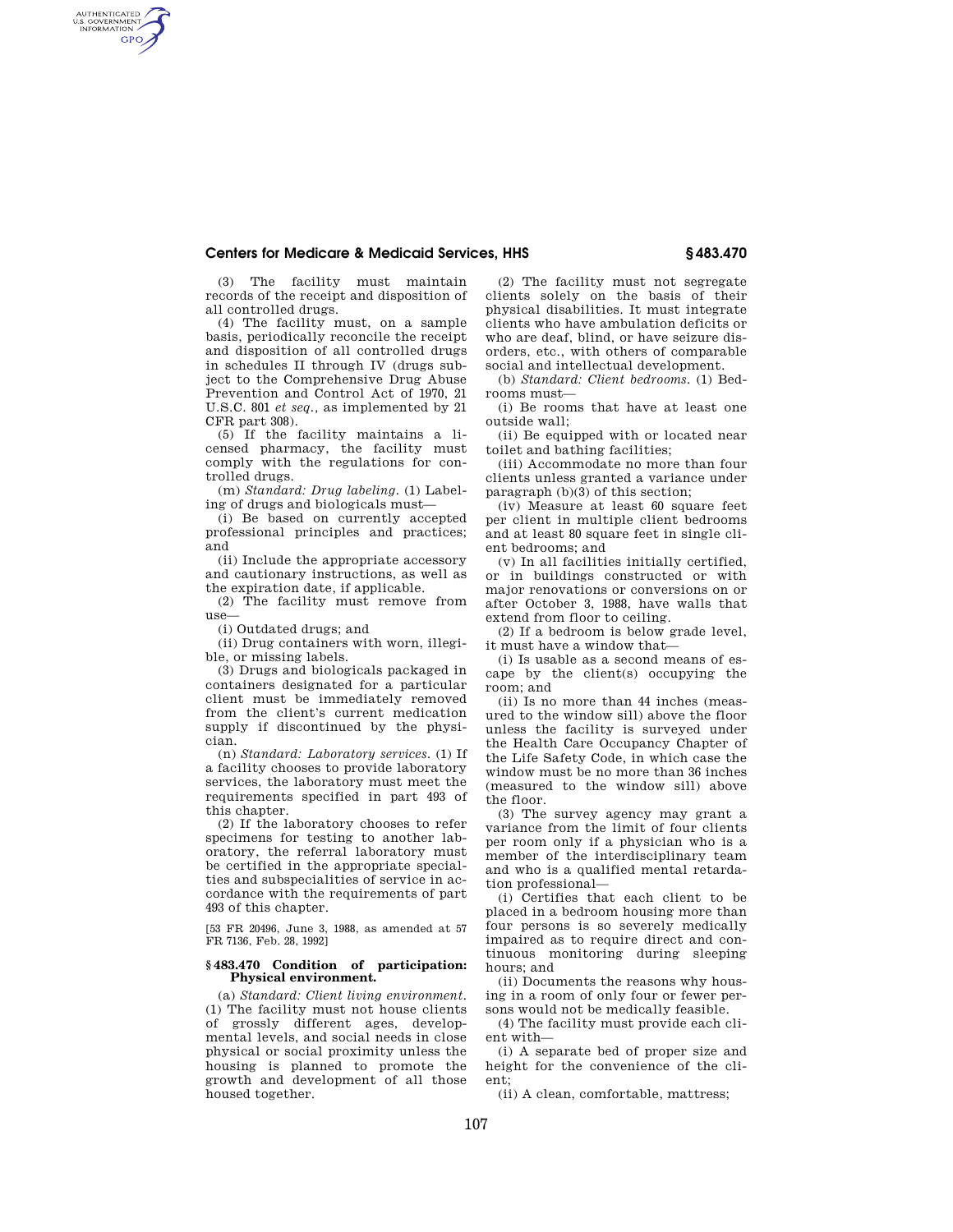## **Centers for Medicare & Medicaid Services, HHS § 483.470**

(3) The facility must maintain records of the receipt and disposition of all controlled drugs.

AUTHENTICATED<br>U.S. GOVERNMENT<br>INFORMATION **GPO** 

> (4) The facility must, on a sample basis, periodically reconcile the receipt and disposition of all controlled drugs in schedules II through IV (drugs subject to the Comprehensive Drug Abuse Prevention and Control Act of 1970, 21 U.S.C. 801 *et seq.,* as implemented by 21 CFR part 308).

> (5) If the facility maintains a licensed pharmacy, the facility must comply with the regulations for controlled drugs.

(m) *Standard: Drug labeling.* (1) Labeling of drugs and biologicals must—

(i) Be based on currently accepted professional principles and practices; and

(ii) Include the appropriate accessory and cautionary instructions, as well as the expiration date, if applicable.

(2) The facility must remove from use—

(i) Outdated drugs; and

(ii) Drug containers with worn, illegible, or missing labels.

(3) Drugs and biologicals packaged in containers designated for a particular client must be immediately removed from the client's current medication supply if discontinued by the physician.

(n) *Standard: Laboratory services.* (1) If a facility chooses to provide laboratory services, the laboratory must meet the requirements specified in part 493 of this chapter.

(2) If the laboratory chooses to refer specimens for testing to another laboratory, the referral laboratory must be certified in the appropriate specialties and subspecialities of service in accordance with the requirements of part 493 of this chapter.

[53 FR 20496, June 3, 1988, as amended at 57 FR 7136, Feb. 28, 1992]

## **§ 483.470 Condition of participation: Physical environment.**

(a) *Standard: Client living environment.*  (1) The facility must not house clients of grossly different ages, developmental levels, and social needs in close physical or social proximity unless the housing is planned to promote the growth and development of all those housed together.

(2) The facility must not segregate clients solely on the basis of their physical disabilities. It must integrate clients who have ambulation deficits or who are deaf, blind, or have seizure disorders, etc., with others of comparable social and intellectual development.

(b) *Standard: Client bedrooms.* (1) Bedrooms must—

(i) Be rooms that have at least one outside wall;

(ii) Be equipped with or located near toilet and bathing facilities;

(iii) Accommodate no more than four clients unless granted a variance under paragraph (b)(3) of this section;

(iv) Measure at least 60 square feet per client in multiple client bedrooms and at least 80 square feet in single client bedrooms; and

(v) In all facilities initially certified, or in buildings constructed or with major renovations or conversions on or after October 3, 1988, have walls that extend from floor to ceiling.

(2) If a bedroom is below grade level, it must have a window that—

(i) Is usable as a second means of escape by the client(s) occupying the room; and

(ii) Is no more than 44 inches (measured to the window sill) above the floor unless the facility is surveyed under the Health Care Occupancy Chapter of the Life Safety Code, in which case the window must be no more than 36 inches (measured to the window sill) above the floor.

(3) The survey agency may grant a variance from the limit of four clients per room only if a physician who is a member of the interdisciplinary team and who is a qualified mental retardation professional—

(i) Certifies that each client to be placed in a bedroom housing more than four persons is so severely medically impaired as to require direct and continuous monitoring during sleeping hours; and

(ii) Documents the reasons why housing in a room of only four or fewer persons would not be medically feasible.

(4) The facility must provide each client with—

(i) A separate bed of proper size and height for the convenience of the client;

(ii) A clean, comfortable, mattress;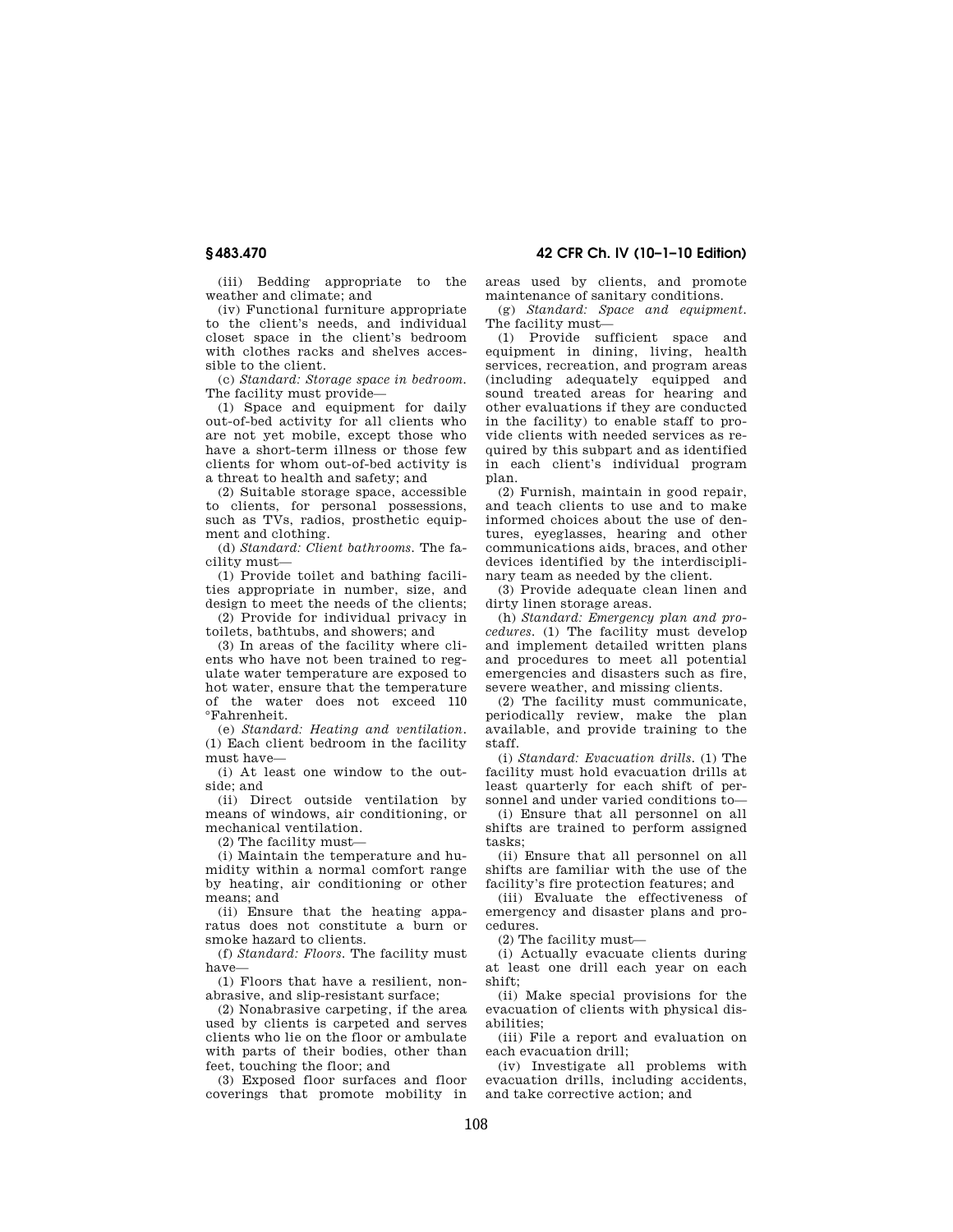(iii) Bedding appropriate to the weather and climate; and

(iv) Functional furniture appropriate to the client's needs, and individual closet space in the client's bedroom with clothes racks and shelves accessible to the client.

(c) *Standard: Storage space in bedroom.*  The facility must provide—

(1) Space and equipment for daily out-of-bed activity for all clients who are not yet mobile, except those who have a short-term illness or those few clients for whom out-of-bed activity is a threat to health and safety; and

(2) Suitable storage space, accessible to clients, for personal possessions, such as TVs, radios, prosthetic equipment and clothing.

(d) *Standard: Client bathrooms.* The facility must—

(1) Provide toilet and bathing facilities appropriate in number, size, and design to meet the needs of the clients;

(2) Provide for individual privacy in toilets, bathtubs, and showers; and

(3) In areas of the facility where clients who have not been trained to regulate water temperature are exposed to hot water, ensure that the temperature of the water does not exceed 110 °Fahrenheit.

(e) *Standard: Heating and ventilation.*  (1) Each client bedroom in the facility must have—

(i) At least one window to the outside; and

(ii) Direct outside ventilation by means of windows, air conditioning, or mechanical ventilation.

(2) The facility must—

(i) Maintain the temperature and humidity within a normal comfort range by heating, air conditioning or other means; and

(ii) Ensure that the heating apparatus does not constitute a burn or smoke hazard to clients.

(f) *Standard: Floors.* The facility must have—

(1) Floors that have a resilient, nonabrasive, and slip-resistant surface;

(2) Nonabrasive carpeting, if the area used by clients is carpeted and serves clients who lie on the floor or ambulate with parts of their bodies, other than feet, touching the floor; and

(3) Exposed floor surfaces and floor coverings that promote mobility in areas used by clients, and promote maintenance of sanitary conditions.

(g) *Standard: Space and equipment.*  The facility must—

(1) Provide sufficient space and equipment in dining, living, health services, recreation, and program areas (including adequately equipped and sound treated areas for hearing and other evaluations if they are conducted in the facility) to enable staff to provide clients with needed services as required by this subpart and as identified in each client's individual program plan.

(2) Furnish, maintain in good repair, and teach clients to use and to make informed choices about the use of dentures, eyeglasses, hearing and other communications aids, braces, and other devices identified by the interdisciplinary team as needed by the client.

(3) Provide adequate clean linen and dirty linen storage areas.

(h) *Standard: Emergency plan and procedures.* (1) The facility must develop and implement detailed written plans and procedures to meet all potential emergencies and disasters such as fire, severe weather, and missing clients.

(2) The facility must communicate, periodically review, make the plan available, and provide training to the staff.

(i) *Standard: Evacuation drills.* (1) The facility must hold evacuation drills at least quarterly for each shift of personnel and under varied conditions to—

(i) Ensure that all personnel on all shifts are trained to perform assigned tasks;

(ii) Ensure that all personnel on all shifts are familiar with the use of the facility's fire protection features; and

(iii) Evaluate the effectiveness of emergency and disaster plans and procedures.

(2) The facility must—

(i) Actually evacuate clients during at least one drill each year on each shift;

(ii) Make special provisions for the evacuation of clients with physical disabilities;

(iii) File a report and evaluation on each evacuation drill;

(iv) Investigate all problems with evacuation drills, including accidents, and take corrective action; and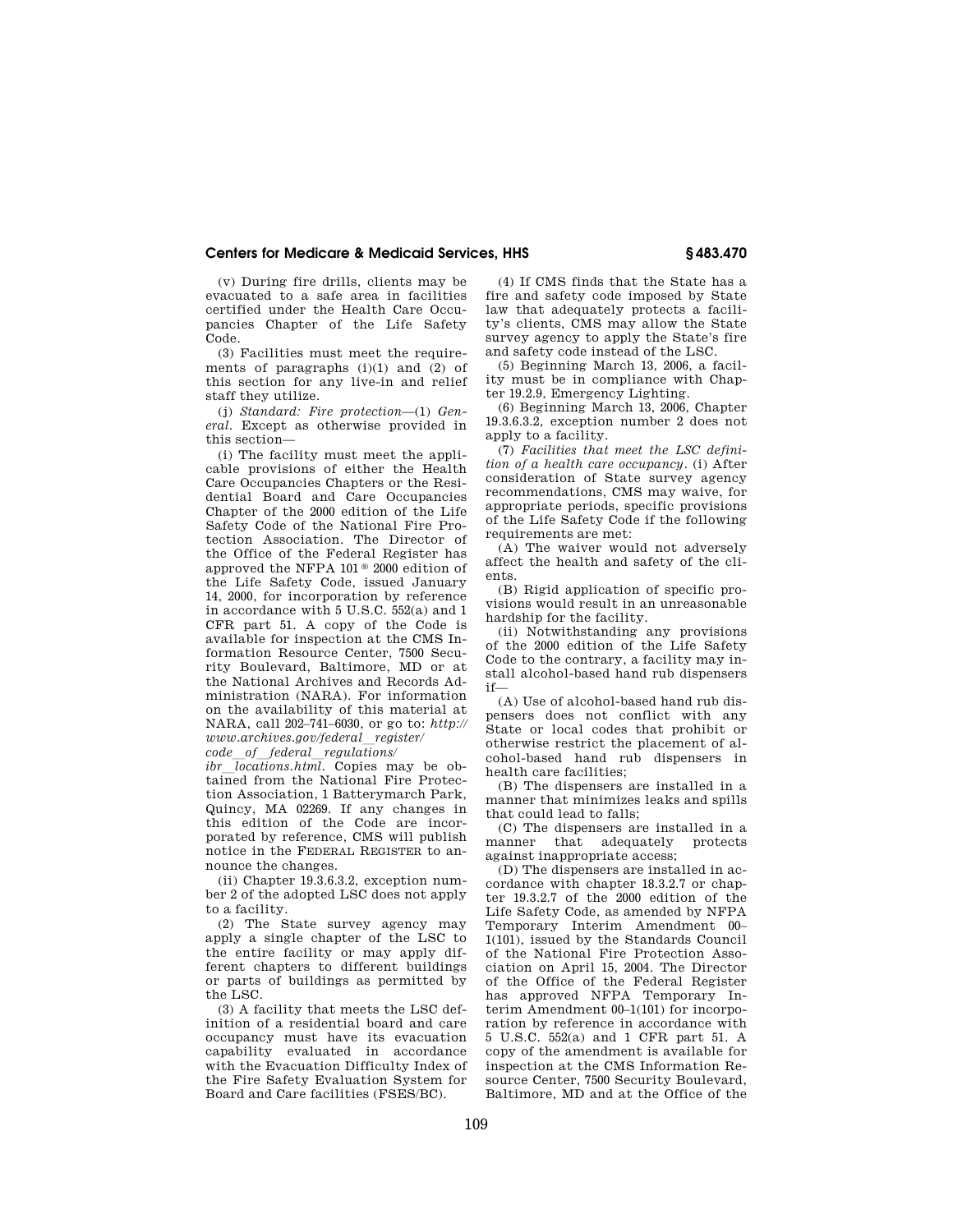# **Centers for Medicare & Medicaid Services, HHS § 483.470**

(v) During fire drills, clients may be evacuated to a safe area in facilities certified under the Health Care Occupancies Chapter of the Life Safety Code.

(3) Facilities must meet the requirements of paragraphs  $(i)(1)$  and  $(2)$  of this section for any live-in and relief staff they utilize.

(j) *Standard: Fire protection*—(1) *General.* Except as otherwise provided in this section—

(i) The facility must meet the applicable provisions of either the Health Care Occupancies Chapters or the Residential Board and Care Occupancies Chapter of the 2000 edition of the Life Safety Code of the National Fire Protection Association. The Director of the Office of the Federal Register has approved the NFPA 101 ® 2000 edition of the Life Safety Code, issued January 14, 2000, for incorporation by reference in accordance with 5 U.S.C. 552(a) and 1 CFR part 51. A copy of the Code is available for inspection at the CMS Information Resource Center, 7500 Security Boulevard, Baltimore, MD or at the National Archives and Records Administration (NARA). For information on the availability of this material at NARA, call 202–741–6030, or go to: *http:// www.archives.gov/federal*l*register/* 

*code*l*of*l*federal*l*regulations/* 

*ibr locations.html.* Copies may be obtained from the National Fire Protection Association, 1 Batterymarch Park, Quincy, MA 02269. If any changes in this edition of the Code are incorporated by reference, CMS will publish notice in the FEDERAL REGISTER to announce the changes.

(ii) Chapter 19.3.6.3.2, exception number 2 of the adopted LSC does not apply to a facility.

(2) The State survey agency may apply a single chapter of the LSC to the entire facility or may apply different chapters to different buildings or parts of buildings as permitted by the LSC.

(3) A facility that meets the LSC definition of a residential board and care occupancy must have its evacuation capability evaluated in accordance with the Evacuation Difficulty Index of the Fire Safety Evaluation System for Board and Care facilities (FSES/BC).

(4) If CMS finds that the State has a fire and safety code imposed by State law that adequately protects a facility's clients, CMS may allow the State survey agency to apply the State's fire and safety code instead of the LSC.

(5) Beginning March 13, 2006, a facility must be in compliance with Chapter 19.2.9, Emergency Lighting.

(6) Beginning March 13, 2006, Chapter 19.3.6.3.2, exception number 2 does not apply to a facility.

(7) *Facilities that meet the LSC definition of a health care occupancy.* (i) After consideration of State survey agency recommendations, CMS may waive, for appropriate periods, specific provisions of the Life Safety Code if the following requirements are met:

(A) The waiver would not adversely affect the health and safety of the clients.

(B) Rigid application of specific provisions would result in an unreasonable hardship for the facility.

(ii) Notwithstanding any provisions of the 2000 edition of the Life Safety Code to the contrary, a facility may install alcohol-based hand rub dispensers if—

(A) Use of alcohol-based hand rub dispensers does not conflict with any State or local codes that prohibit or otherwise restrict the placement of alcohol-based hand rub dispensers in health care facilities;

(B) The dispensers are installed in a manner that minimizes leaks and spills that could lead to falls;

(C) The dispensers are installed in a manner that adequately protects against inappropriate access;

(D) The dispensers are installed in accordance with chapter 18.3.2.7 or chapter 19.3.2.7 of the 2000 edition of the Life Safety Code, as amended by NFPA Temporary Interim Amendment 00– 1(101), issued by the Standards Council of the National Fire Protection Association on April 15, 2004. The Director of the Office of the Federal Register has approved NFPA Temporary Interim Amendment 00–1(101) for incorporation by reference in accordance with 5 U.S.C. 552(a) and 1 CFR part 51. A copy of the amendment is available for inspection at the CMS Information Resource Center, 7500 Security Boulevard, Baltimore, MD and at the Office of the